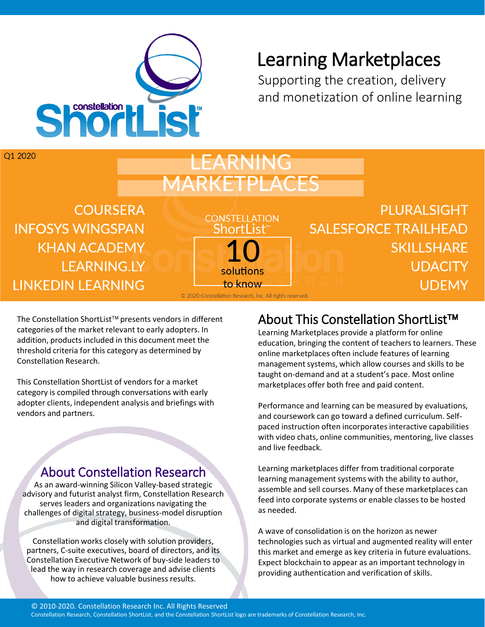

# Learning Marketplaces

Supporting the creation, delivery and monetization of online learning

O1 2020

# LEARNING MARKETPLACES

**CONSTELLATION** 

Shortl ist

**COURSERA INFOSYS WINGSPAN KHAN ACADEMY LEARNING.LY LINKEDIN LEARNING** 

**PLURALSIGHT SALESFORCE TRAILHEAD SKILLSHARE UDACITY UDEMY** 

to know © 2020 Constellation Research, Inc. All rights reserved.

solutions

The Constellation ShortList<sup>™</sup> presents vendors in different categories of the market relevant to early adopters. In addition, products included in this document meet the threshold criteria for this category as determined by Constellation Research.

This Constellation ShortList of vendors for a market category is compiled through conversations with early adopter clients, independent analysis and briefings with vendors and partners.

## About Constellation Research

As an award-winning Silicon Valley-based strategic advisory and futurist analyst firm, Constellation Research serves leaders and organizations navigating the challenges of digital strategy, business-model disruption and digital transformation.

Constellation works closely with solution providers, partners, C-suite executives, board of directors, and its Constellation Executive Network of buy-side leaders to lead the way in research coverage and advise clients how to achieve valuable business results.

## About This Constellation ShortList™

Learning Marketplaces provide a platform for online education, bringing the content of teachers to learners. These online marketplaces often include features of learning management systems, which allow courses and skills to be taught on-demand and at a student's pace. Most online marketplaces offer both free and paid content.

Performance and learning can be measured by evaluations, and coursework can go toward a defined curriculum. Selfpaced instruction often incorporates interactive capabilities with video chats, online communities, mentoring, live classes and live feedback.

Learning marketplaces differ from traditional corporate learning management systems with the ability to author, assemble and sell courses. Many of these marketplaces can feed into corporate systems or enable classes to be hosted as needed.

A wave of consolidation is on the horizon as newer technologies such as virtual and augmented reality will enter this market and emerge as key criteria in future evaluations. Expect blockchain to appear as an important technology in providing authentication and verification of skills.